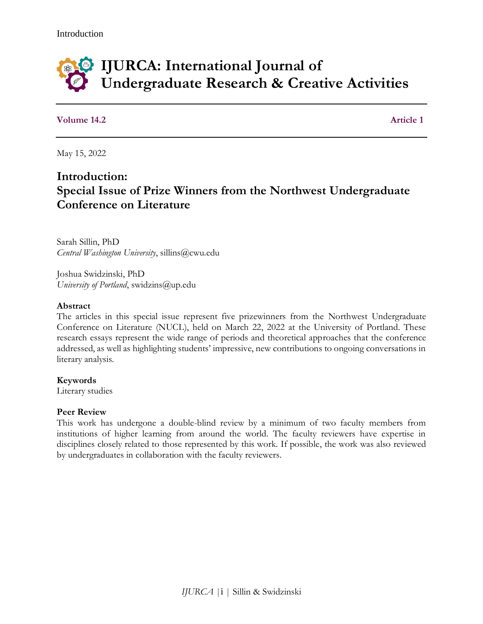

**Volume 14.2 Article 1** 

May 15, 2022

# **Introduction: Special Issue of Prize Winners from the Northwest Undergraduate Conference on Literature**

Sarah Sillin, PhD *Central Washington University*, sillins@cwu.edu

Joshua Swidzinski, PhD *University of Portland*, swidzins@up.edu

#### **Abstract**

The articles in this special issue represent five prizewinners from the Northwest Undergraduate Conference on Literature (NUCL), held on March 22, 2022 at the University of Portland. These research essays represent the wide range of periods and theoretical approaches that the conference addressed, as well as highlighting students' impressive, new contributions to ongoing conversations in literary analysis.

**Keywords**

Literary studies

#### **Peer Review**

This work has undergone a double-blind review by a minimum of two faculty members from institutions of higher learning from around the world. The faculty reviewers have expertise in disciplines closely related to those represented by this work. If possible, the work was also reviewed by undergraduates in collaboration with the faculty reviewers.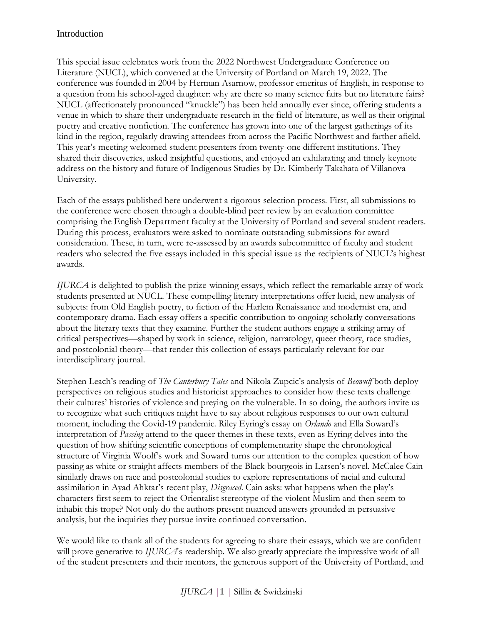### Introduction

This special issue celebrates work from the 2022 Northwest Undergraduate Conference on Literature (NUCL), which convened at the University of Portland on March 19, 2022. The conference was founded in 2004 by Herman Asarnow, professor emeritus of English, in response to a question from his school-aged daughter: why are there so many science fairs but no literature fairs? NUCL (affectionately pronounced "knuckle") has been held annually ever since, offering students a venue in which to share their undergraduate research in the field of literature, as well as their original poetry and creative nonfiction. The conference has grown into one of the largest gatherings of its kind in the region, regularly drawing attendees from across the Pacific Northwest and farther afield. This year's meeting welcomed student presenters from twenty-one different institutions. They shared their discoveries, asked insightful questions, and enjoyed an exhilarating and timely keynote address on the history and future of Indigenous Studies by Dr. Kimberly Takahata of Villanova University.

Each of the essays published here underwent a rigorous selection process. First, all submissions to the conference were chosen through a double-blind peer review by an evaluation committee comprising the English Department faculty at the University of Portland and several student readers. During this process, evaluators were asked to nominate outstanding submissions for award consideration. These, in turn, were re-assessed by an awards subcommittee of faculty and student readers who selected the five essays included in this special issue as the recipients of NUCL's highest awards.

*IJURCA* is delighted to publish the prize-winning essays, which reflect the remarkable array of work students presented at NUCL. These compelling literary interpretations offer lucid, new analysis of subjects: from Old English poetry, to fiction of the Harlem Renaissance and modernist era, and contemporary drama. Each essay offers a specific contribution to ongoing scholarly conversations about the literary texts that they examine. Further the student authors engage a striking array of critical perspectives—shaped by work in science, religion, narratology, queer theory, race studies, and postcolonial theory—that render this collection of essays particularly relevant for our interdisciplinary journal.

Stephen Leach's reading of *The Canterbury Tales* and Nikola Zupcic's analysis of *Beowulf* both deploy perspectives on religious studies and historicist approaches to consider how these texts challenge their cultures' histories of violence and preying on the vulnerable. In so doing, the authors invite us to recognize what such critiques might have to say about religious responses to our own cultural moment, including the Covid-19 pandemic. Riley Eyring's essay on *Orlando* and Ella Soward's interpretation of *Passing* attend to the queer themes in these texts, even as Eyring delves into the question of how shifting scientific conceptions of complementarity shape the chronological structure of Virginia Woolf's work and Soward turns our attention to the complex question of how passing as white or straight affects members of the Black bourgeois in Larsen's novel. McCalee Cain similarly draws on race and postcolonial studies to explore representations of racial and cultural assimilation in Ayad Ahktar's recent play, *Disgraced*. Cain asks: what happens when the play's characters first seem to reject the Orientalist stereotype of the violent Muslim and then seem to inhabit this trope? Not only do the authors present nuanced answers grounded in persuasive analysis, but the inquiries they pursue invite continued conversation.

We would like to thank all of the students for agreeing to share their essays, which we are confident will prove generative to *IJURCA*'s readership. We also greatly appreciate the impressive work of all of the student presenters and their mentors, the generous support of the University of Portland, and